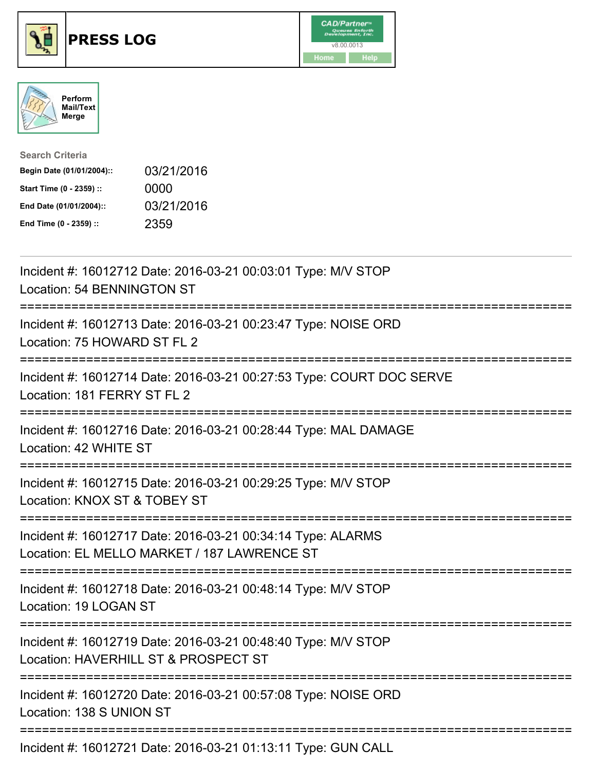





| <b>Search Criteria</b>    |            |
|---------------------------|------------|
| Begin Date (01/01/2004):: | 03/21/2016 |
| Start Time (0 - 2359) ::  | 0000       |
| End Date (01/01/2004)::   | 03/21/2016 |
| End Time (0 - 2359) ::    | 2359       |

| Incident #: 16012712 Date: 2016-03-21 00:03:01 Type: M/V STOP<br>Location: 54 BENNINGTON ST                                                                                                                                                                                    |
|--------------------------------------------------------------------------------------------------------------------------------------------------------------------------------------------------------------------------------------------------------------------------------|
| Incident #: 16012713 Date: 2016-03-21 00:23:47 Type: NOISE ORD<br>Location: 75 HOWARD ST FL 2                                                                                                                                                                                  |
| Incident #: 16012714 Date: 2016-03-21 00:27:53 Type: COURT DOC SERVE<br>Location: 181 FERRY ST FL 2                                                                                                                                                                            |
| Incident #: 16012716 Date: 2016-03-21 00:28:44 Type: MAL DAMAGE<br>Location: 42 WHITE ST                                                                                                                                                                                       |
| Incident #: 16012715 Date: 2016-03-21 00:29:25 Type: M/V STOP<br>Location: KNOX ST & TOBEY ST                                                                                                                                                                                  |
| Incident #: 16012717 Date: 2016-03-21 00:34:14 Type: ALARMS<br>Location: EL MELLO MARKET / 187 LAWRENCE ST                                                                                                                                                                     |
| Incident #: 16012718 Date: 2016-03-21 00:48:14 Type: M/V STOP<br>Location: 19 LOGAN ST                                                                                                                                                                                         |
| Incident #: 16012719 Date: 2016-03-21 00:48:40 Type: M/V STOP<br>Location: HAVERHILL ST & PROSPECT ST                                                                                                                                                                          |
| Incident #: 16012720 Date: 2016-03-21 00:57:08 Type: NOISE ORD<br>Location: 138 S UNION ST                                                                                                                                                                                     |
| $\mu_{\text{ref}}$ , $\mu_{\text{ref}}$ , $\mu_{\text{ref}}$ , $\mu_{\text{ref}}$ , $\mu_{\text{ref}}$ , $\mu_{\text{ref}}$ , $\mu_{\text{ref}}$ , $\mu_{\text{ref}}$ , $\mu_{\text{ref}}$ , $\mu_{\text{ref}}$ , $\mu_{\text{ref}}$ , $\mu_{\text{ref}}$ , $\mu_{\text{ref}}$ |

Incident #: 16012721 Date: 2016-03-21 01:13:11 Type: GUN CALL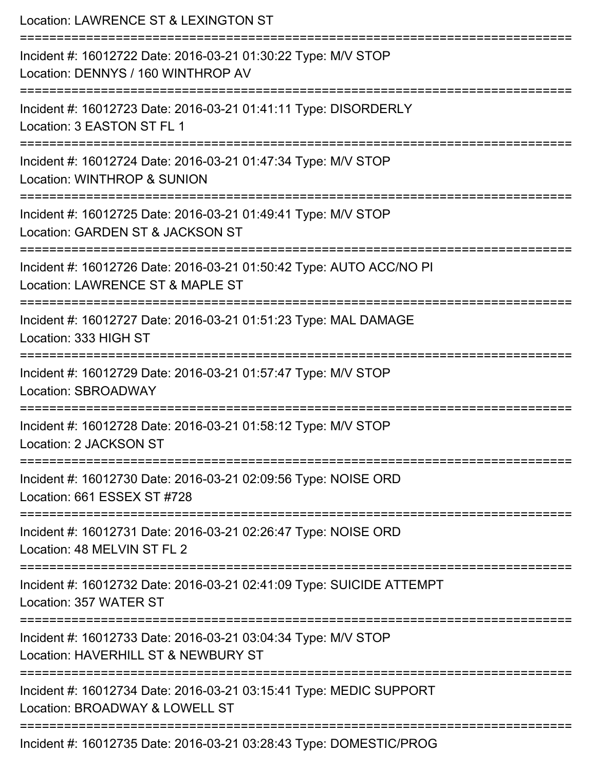| Location: LAWRENCE ST & LEXINGTON ST                                                                                        |
|-----------------------------------------------------------------------------------------------------------------------------|
| Incident #: 16012722 Date: 2016-03-21 01:30:22 Type: M/V STOP<br>Location: DENNYS / 160 WINTHROP AV<br>==================== |
| Incident #: 16012723 Date: 2016-03-21 01:41:11 Type: DISORDERLY<br>Location: 3 EASTON ST FL 1                               |
| Incident #: 16012724 Date: 2016-03-21 01:47:34 Type: M/V STOP<br>Location: WINTHROP & SUNION                                |
| Incident #: 16012725 Date: 2016-03-21 01:49:41 Type: M/V STOP<br>Location: GARDEN ST & JACKSON ST                           |
| Incident #: 16012726 Date: 2016-03-21 01:50:42 Type: AUTO ACC/NO PI<br>Location: LAWRENCE ST & MAPLE ST                     |
| Incident #: 16012727 Date: 2016-03-21 01:51:23 Type: MAL DAMAGE<br>Location: 333 HIGH ST                                    |
| Incident #: 16012729 Date: 2016-03-21 01:57:47 Type: M/V STOP<br>Location: SBROADWAY                                        |
| Incident #: 16012728 Date: 2016-03-21 01:58:12 Type: M/V STOP<br>Location: 2 JACKSON ST                                     |
| Incident #: 16012730 Date: 2016-03-21 02:09:56 Type: NOISE ORD<br>Location: 661 ESSEX ST #728                               |
| Incident #: 16012731 Date: 2016-03-21 02:26:47 Type: NOISE ORD<br>Location: 48 MELVIN ST FL 2                               |
| Incident #: 16012732 Date: 2016-03-21 02:41:09 Type: SUICIDE ATTEMPT<br>Location: 357 WATER ST                              |
| Incident #: 16012733 Date: 2016-03-21 03:04:34 Type: M/V STOP<br>Location: HAVERHILL ST & NEWBURY ST                        |
| Incident #: 16012734 Date: 2016-03-21 03:15:41 Type: MEDIC SUPPORT<br>Location: BROADWAY & LOWELL ST                        |
| Incident #: 16012735 Date: 2016-03-21 03:28:43 Type: DOMESTIC/PROG                                                          |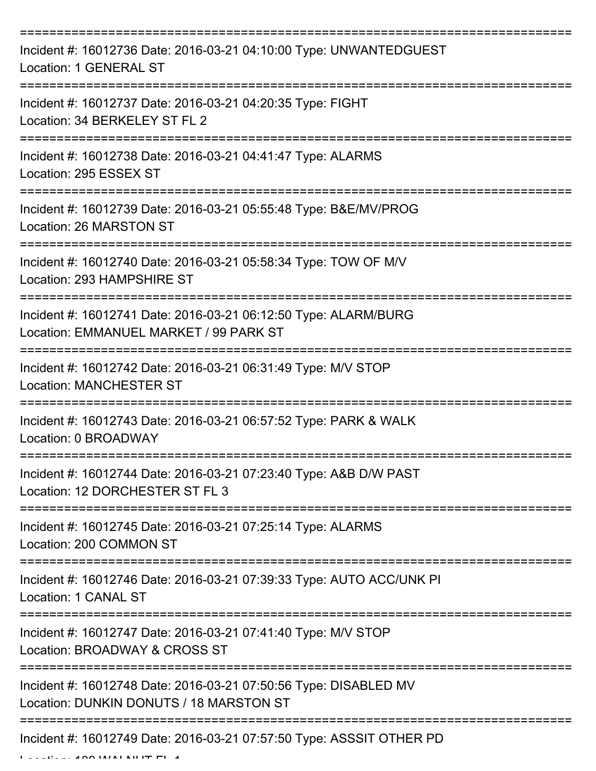| Incident #: 16012736 Date: 2016-03-21 04:10:00 Type: UNWANTEDGUEST<br>Location: 1 GENERAL ST                |
|-------------------------------------------------------------------------------------------------------------|
| Incident #: 16012737 Date: 2016-03-21 04:20:35 Type: FIGHT<br>Location: 34 BERKELEY ST FL 2                 |
| Incident #: 16012738 Date: 2016-03-21 04:41:47 Type: ALARMS<br>Location: 295 ESSEX ST                       |
| Incident #: 16012739 Date: 2016-03-21 05:55:48 Type: B&E/MV/PROG<br>Location: 26 MARSTON ST                 |
| Incident #: 16012740 Date: 2016-03-21 05:58:34 Type: TOW OF M/V<br>Location: 293 HAMPSHIRE ST               |
| Incident #: 16012741 Date: 2016-03-21 06:12:50 Type: ALARM/BURG<br>Location: EMMANUEL MARKET / 99 PARK ST   |
| Incident #: 16012742 Date: 2016-03-21 06:31:49 Type: M/V STOP<br><b>Location: MANCHESTER ST</b>             |
| Incident #: 16012743 Date: 2016-03-21 06:57:52 Type: PARK & WALK<br>Location: 0 BROADWAY                    |
| Incident #: 16012744 Date: 2016-03-21 07:23:40 Type: A&B D/W PAST<br>Location: 12 DORCHESTER ST FL 3        |
| Incident #: 16012745 Date: 2016-03-21 07:25:14 Type: ALARMS<br>Location: 200 COMMON ST                      |
| Incident #: 16012746 Date: 2016-03-21 07:39:33 Type: AUTO ACC/UNK PI<br>Location: 1 CANAL ST                |
| Incident #: 16012747 Date: 2016-03-21 07:41:40 Type: M/V STOP<br>Location: BROADWAY & CROSS ST              |
| Incident #: 16012748 Date: 2016-03-21 07:50:56 Type: DISABLED MV<br>Location: DUNKIN DONUTS / 18 MARSTON ST |
| Incident #: 16012749 Date: 2016-03-21 07:57:50 Type: ASSSIT OTHER PD                                        |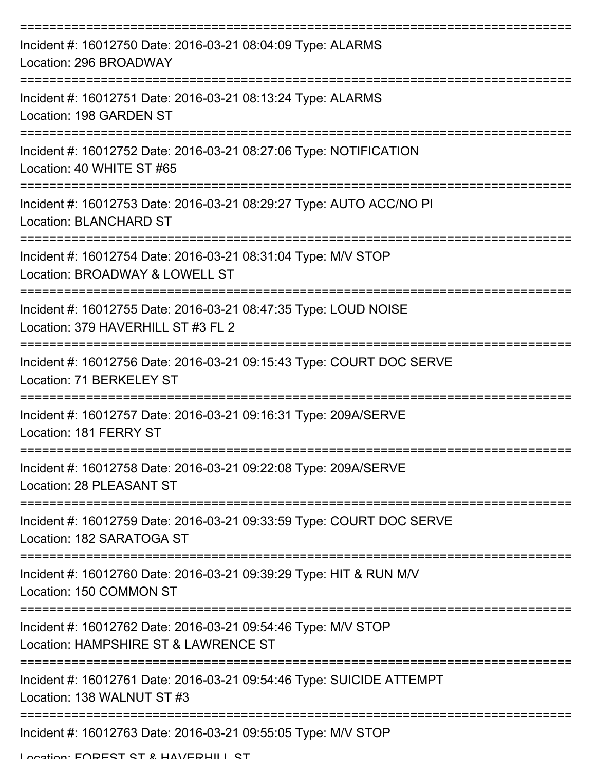| Incident #: 16012750 Date: 2016-03-21 08:04:09 Type: ALARMS<br>Location: 296 BROADWAY                 |
|-------------------------------------------------------------------------------------------------------|
| Incident #: 16012751 Date: 2016-03-21 08:13:24 Type: ALARMS<br>Location: 198 GARDEN ST                |
| Incident #: 16012752 Date: 2016-03-21 08:27:06 Type: NOTIFICATION<br>Location: 40 WHITE ST #65        |
| Incident #: 16012753 Date: 2016-03-21 08:29:27 Type: AUTO ACC/NO PI<br><b>Location: BLANCHARD ST</b>  |
| Incident #: 16012754 Date: 2016-03-21 08:31:04 Type: M/V STOP<br>Location: BROADWAY & LOWELL ST       |
| Incident #: 16012755 Date: 2016-03-21 08:47:35 Type: LOUD NOISE<br>Location: 379 HAVERHILL ST #3 FL 2 |
| Incident #: 16012756 Date: 2016-03-21 09:15:43 Type: COURT DOC SERVE<br>Location: 71 BERKELEY ST      |
| Incident #: 16012757 Date: 2016-03-21 09:16:31 Type: 209A/SERVE<br>Location: 181 FERRY ST             |
| Incident #: 16012758 Date: 2016-03-21 09:22:08 Type: 209A/SERVE<br>Location: 28 PLEASANT ST           |
| Incident #: 16012759 Date: 2016-03-21 09:33:59 Type: COURT DOC SERVE<br>Location: 182 SARATOGA ST     |
| Incident #: 16012760 Date: 2016-03-21 09:39:29 Type: HIT & RUN M/V<br>Location: 150 COMMON ST         |
| Incident #: 16012762 Date: 2016-03-21 09:54:46 Type: M/V STOP<br>Location: HAMPSHIRE ST & LAWRENCE ST |
| Incident #: 16012761 Date: 2016-03-21 09:54:46 Type: SUICIDE ATTEMPT<br>Location: 138 WALNUT ST #3    |
| Incident #: 16012763 Date: 2016-03-21 09:55:05 Type: M/V STOP                                         |

Location: EODECT CT & HAVEDHILL CT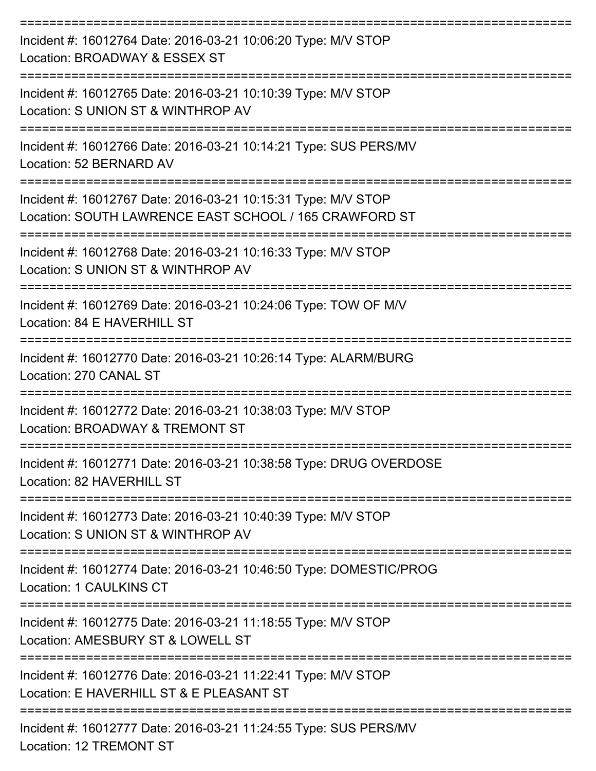| Incident #: 16012764 Date: 2016-03-21 10:06:20 Type: M/V STOP<br>Location: BROADWAY & ESSEX ST<br>:=========================== |
|--------------------------------------------------------------------------------------------------------------------------------|
| Incident #: 16012765 Date: 2016-03-21 10:10:39 Type: M/V STOP<br>Location: S UNION ST & WINTHROP AV                            |
| Incident #: 16012766 Date: 2016-03-21 10:14:21 Type: SUS PERS/MV<br>Location: 52 BERNARD AV<br>---------------                 |
| Incident #: 16012767 Date: 2016-03-21 10:15:31 Type: M/V STOP<br>Location: SOUTH LAWRENCE EAST SCHOOL / 165 CRAWFORD ST        |
| Incident #: 16012768 Date: 2016-03-21 10:16:33 Type: M/V STOP<br>Location: S UNION ST & WINTHROP AV                            |
| Incident #: 16012769 Date: 2016-03-21 10:24:06 Type: TOW OF M/V<br>Location: 84 E HAVERHILL ST                                 |
| ===============<br>Incident #: 16012770 Date: 2016-03-21 10:26:14 Type: ALARM/BURG<br>Location: 270 CANAL ST                   |
| Incident #: 16012772 Date: 2016-03-21 10:38:03 Type: M/V STOP<br>Location: BROADWAY & TREMONT ST                               |
| Incident #: 16012771 Date: 2016-03-21 10:38:58 Type: DRUG OVERDOSE<br>Location: 82 HAVERHILL ST                                |
| Incident #: 16012773 Date: 2016-03-21 10:40:39 Type: M/V STOP<br>Location: S UNION ST & WINTHROP AV                            |
| Incident #: 16012774 Date: 2016-03-21 10:46:50 Type: DOMESTIC/PROG<br>Location: 1 CAULKINS CT                                  |
| Incident #: 16012775 Date: 2016-03-21 11:18:55 Type: M/V STOP<br>Location: AMESBURY ST & LOWELL ST                             |
| Incident #: 16012776 Date: 2016-03-21 11:22:41 Type: M/V STOP<br>Location: E HAVERHILL ST & E PLEASANT ST                      |
| Incident #: 16012777 Date: 2016-03-21 11:24:55 Type: SUS PERS/MV<br><b>Location: 12 TREMONT ST</b>                             |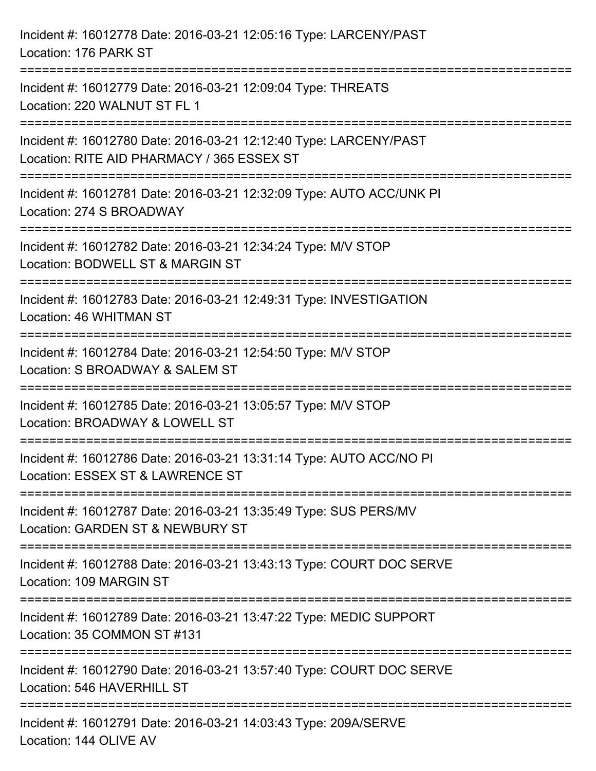| Incident #: 16012778 Date: 2016-03-21 12:05:16 Type: LARCENY/PAST<br>Location: 176 PARK ST                      |
|-----------------------------------------------------------------------------------------------------------------|
| Incident #: 16012779 Date: 2016-03-21 12:09:04 Type: THREATS<br>Location: 220 WALNUT ST FL 1                    |
| Incident #: 16012780 Date: 2016-03-21 12:12:40 Type: LARCENY/PAST<br>Location: RITE AID PHARMACY / 365 ESSEX ST |
| Incident #: 16012781 Date: 2016-03-21 12:32:09 Type: AUTO ACC/UNK PI<br>Location: 274 S BROADWAY                |
| Incident #: 16012782 Date: 2016-03-21 12:34:24 Type: M/V STOP<br>Location: BODWELL ST & MARGIN ST               |
| Incident #: 16012783 Date: 2016-03-21 12:49:31 Type: INVESTIGATION<br>Location: 46 WHITMAN ST                   |
| Incident #: 16012784 Date: 2016-03-21 12:54:50 Type: M/V STOP<br>Location: S BROADWAY & SALEM ST                |
| Incident #: 16012785 Date: 2016-03-21 13:05:57 Type: M/V STOP<br>Location: BROADWAY & LOWELL ST                 |
| Incident #: 16012786 Date: 2016-03-21 13:31:14 Type: AUTO ACC/NO PI<br>Location: ESSEX ST & LAWRENCE ST         |
| Incident #: 16012787 Date: 2016-03-21 13:35:49 Type: SUS PERS/MV<br>Location: GARDEN ST & NEWBURY ST            |
| Incident #: 16012788 Date: 2016-03-21 13:43:13 Type: COURT DOC SERVE<br>Location: 109 MARGIN ST                 |
| Incident #: 16012789 Date: 2016-03-21 13:47:22 Type: MEDIC SUPPORT<br>Location: 35 COMMON ST #131               |
| Incident #: 16012790 Date: 2016-03-21 13:57:40 Type: COURT DOC SERVE<br>Location: 546 HAVERHILL ST              |
| Incident #: 16012791 Date: 2016-03-21 14:03:43 Type: 209A/SERVE<br>Location: 144 OLIVE AV                       |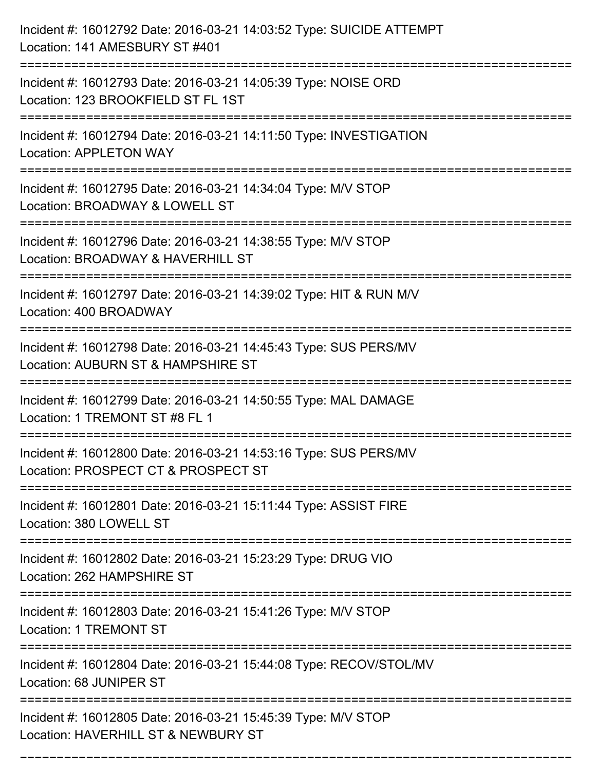| Incident #: 16012792 Date: 2016-03-21 14:03:52 Type: SUICIDE ATTEMPT<br>Location: 141 AMESBURY ST #401                                                        |
|---------------------------------------------------------------------------------------------------------------------------------------------------------------|
| Incident #: 16012793 Date: 2016-03-21 14:05:39 Type: NOISE ORD<br>Location: 123 BROOKFIELD ST FL 1ST                                                          |
| Incident #: 16012794 Date: 2016-03-21 14:11:50 Type: INVESTIGATION<br><b>Location: APPLETON WAY</b><br>:=================================                     |
| Incident #: 16012795 Date: 2016-03-21 14:34:04 Type: M/V STOP<br>Location: BROADWAY & LOWELL ST                                                               |
| Incident #: 16012796 Date: 2016-03-21 14:38:55 Type: M/V STOP<br>Location: BROADWAY & HAVERHILL ST                                                            |
| Incident #: 16012797 Date: 2016-03-21 14:39:02 Type: HIT & RUN M/V<br>Location: 400 BROADWAY                                                                  |
| Incident #: 16012798 Date: 2016-03-21 14:45:43 Type: SUS PERS/MV<br>Location: AUBURN ST & HAMPSHIRE ST                                                        |
| Incident #: 16012799 Date: 2016-03-21 14:50:55 Type: MAL DAMAGE<br>Location: 1 TREMONT ST #8 FL 1                                                             |
| Incident #: 16012800 Date: 2016-03-21 14:53:16 Type: SUS PERS/MV<br>Location: PROSPECT CT & PROSPECT ST                                                       |
| Incident #: 16012801 Date: 2016-03-21 15:11:44 Type: ASSIST FIRE<br>Location: 380 LOWELL ST                                                                   |
| -----------------------------<br>=============================<br>Incident #: 16012802 Date: 2016-03-21 15:23:29 Type: DRUG VIO<br>Location: 262 HAMPSHIRE ST |
| Incident #: 16012803 Date: 2016-03-21 15:41:26 Type: M/V STOP<br><b>Location: 1 TREMONT ST</b>                                                                |
| Incident #: 16012804 Date: 2016-03-21 15:44:08 Type: RECOV/STOL/MV<br>Location: 68 JUNIPER ST                                                                 |
| Incident #: 16012805 Date: 2016-03-21 15:45:39 Type: M/V STOP<br>Location: HAVERHILL ST & NEWBURY ST                                                          |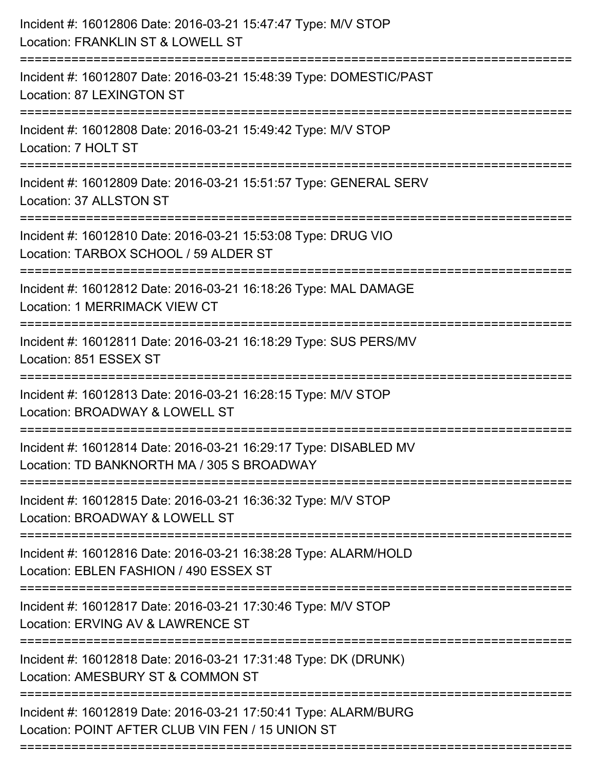| ---------------------------<br>============================<br>================================= | Incident #: 16012806 Date: 2016-03-21 15:47:47 Type: M/V STOP<br>Location: FRANKLIN ST & LOWELL ST                  |
|--------------------------------------------------------------------------------------------------|---------------------------------------------------------------------------------------------------------------------|
|                                                                                                  | Incident #: 16012807 Date: 2016-03-21 15:48:39 Type: DOMESTIC/PAST<br><b>Location: 87 LEXINGTON ST</b>              |
|                                                                                                  | Incident #: 16012808 Date: 2016-03-21 15:49:42 Type: M/V STOP<br>Location: 7 HOLT ST                                |
|                                                                                                  | Incident #: 16012809 Date: 2016-03-21 15:51:57 Type: GENERAL SERV<br>Location: 37 ALLSTON ST                        |
|                                                                                                  | Incident #: 16012810 Date: 2016-03-21 15:53:08 Type: DRUG VIO<br>Location: TARBOX SCHOOL / 59 ALDER ST              |
|                                                                                                  | Incident #: 16012812 Date: 2016-03-21 16:18:26 Type: MAL DAMAGE<br>Location: 1 MERRIMACK VIEW CT                    |
|                                                                                                  | Incident #: 16012811 Date: 2016-03-21 16:18:29 Type: SUS PERS/MV<br>Location: 851 ESSEX ST                          |
|                                                                                                  | Incident #: 16012813 Date: 2016-03-21 16:28:15 Type: M/V STOP<br>Location: BROADWAY & LOWELL ST                     |
|                                                                                                  | Incident #: 16012814 Date: 2016-03-21 16:29:17 Type: DISABLED MV<br>Location: TD BANKNORTH MA / 305 S BROADWAY      |
|                                                                                                  | Incident #: 16012815 Date: 2016-03-21 16:36:32 Type: M/V STOP<br>Location: BROADWAY & LOWELL ST                     |
|                                                                                                  | Incident #: 16012816 Date: 2016-03-21 16:38:28 Type: ALARM/HOLD<br>Location: EBLEN FASHION / 490 ESSEX ST           |
|                                                                                                  | Incident #: 16012817 Date: 2016-03-21 17:30:46 Type: M/V STOP<br>Location: ERVING AV & LAWRENCE ST                  |
|                                                                                                  | Incident #: 16012818 Date: 2016-03-21 17:31:48 Type: DK (DRUNK)<br>Location: AMESBURY ST & COMMON ST                |
|                                                                                                  | Incident #: 16012819 Date: 2016-03-21 17:50:41 Type: ALARM/BURG<br>Location: POINT AFTER CLUB VIN FEN / 15 UNION ST |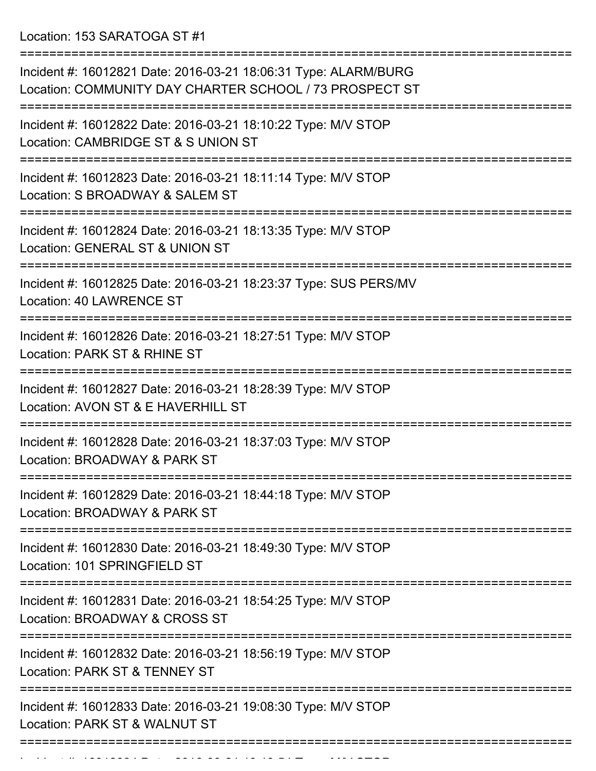Location: 153 SARATOGA ST #1

| Incident #: 16012821 Date: 2016-03-21 18:06:31 Type: ALARM/BURG<br>Location: COMMUNITY DAY CHARTER SCHOOL / 73 PROSPECT ST               |
|------------------------------------------------------------------------------------------------------------------------------------------|
| Incident #: 16012822 Date: 2016-03-21 18:10:22 Type: M/V STOP<br>Location: CAMBRIDGE ST & S UNION ST                                     |
| Incident #: 16012823 Date: 2016-03-21 18:11:14 Type: M/V STOP<br>Location: S BROADWAY & SALEM ST                                         |
| Incident #: 16012824 Date: 2016-03-21 18:13:35 Type: M/V STOP<br>Location: GENERAL ST & UNION ST                                         |
| Incident #: 16012825 Date: 2016-03-21 18:23:37 Type: SUS PERS/MV<br>Location: 40 LAWRENCE ST                                             |
| Incident #: 16012826 Date: 2016-03-21 18:27:51 Type: M/V STOP<br>Location: PARK ST & RHINE ST                                            |
| Incident #: 16012827 Date: 2016-03-21 18:28:39 Type: M/V STOP<br>Location: AVON ST & E HAVERHILL ST                                      |
| Incident #: 16012828 Date: 2016-03-21 18:37:03 Type: M/V STOP<br>Location: BROADWAY & PARK ST                                            |
| Incident #: 16012829 Date: 2016-03-21 18:44:18 Type: M/V STOP<br>Location: BROADWAY & PARK ST                                            |
| Incident #: 16012830 Date: 2016-03-21 18:49:30 Type: M/V STOP<br>Location: 101 SPRINGFIELD ST                                            |
| Incident #: 16012831 Date: 2016-03-21 18:54:25 Type: M/V STOP<br>Location: BROADWAY & CROSS ST                                           |
| --------------------------------------<br>Incident #: 16012832 Date: 2016-03-21 18:56:19 Type: M/V STOP<br>Location: PARK ST & TENNEY ST |
| Incident #: 16012833 Date: 2016-03-21 19:08:30 Type: M/V STOP<br>Location: PARK ST & WALNUT ST                                           |
|                                                                                                                                          |

===========================================================================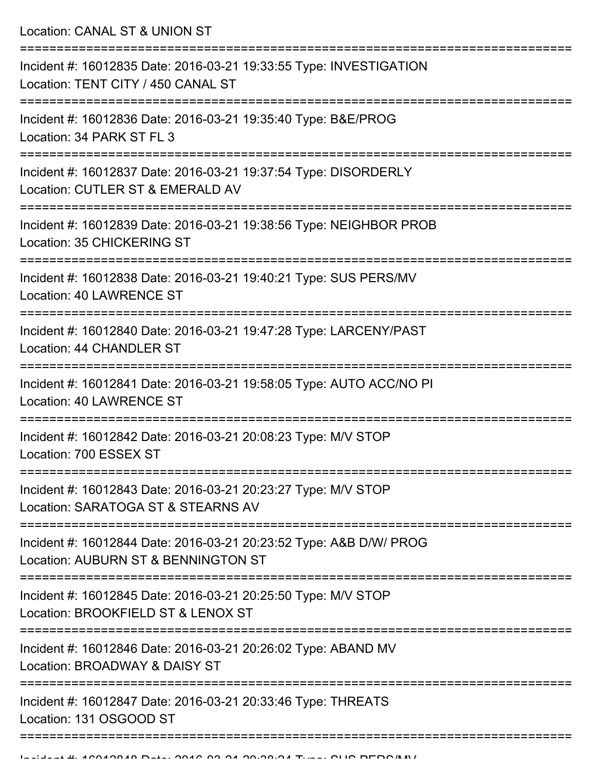Location: CANAL ST & UNION ST

| Incident #: 16012835 Date: 2016-03-21 19:33:55 Type: INVESTIGATION<br>Location: TENT CITY / 450 CANAL ST  |
|-----------------------------------------------------------------------------------------------------------|
| Incident #: 16012836 Date: 2016-03-21 19:35:40 Type: B&E/PROG<br>Location: 34 PARK ST FL 3                |
| Incident #: 16012837 Date: 2016-03-21 19:37:54 Type: DISORDERLY<br>Location: CUTLER ST & EMERALD AV       |
| Incident #: 16012839 Date: 2016-03-21 19:38:56 Type: NEIGHBOR PROB<br>Location: 35 CHICKERING ST          |
| Incident #: 16012838 Date: 2016-03-21 19:40:21 Type: SUS PERS/MV<br>Location: 40 LAWRENCE ST              |
| Incident #: 16012840 Date: 2016-03-21 19:47:28 Type: LARCENY/PAST<br>Location: 44 CHANDLER ST             |
| Incident #: 16012841 Date: 2016-03-21 19:58:05 Type: AUTO ACC/NO PI<br><b>Location: 40 LAWRENCE ST</b>    |
| Incident #: 16012842 Date: 2016-03-21 20:08:23 Type: M/V STOP<br>Location: 700 ESSEX ST                   |
| Incident #: 16012843 Date: 2016-03-21 20:23:27 Type: M/V STOP<br>Location: SARATOGA ST & STEARNS AV       |
| Incident #: 16012844 Date: 2016-03-21 20:23:52 Type: A&B D/W/ PROG<br>Location: AUBURN ST & BENNINGTON ST |
| Incident #: 16012845 Date: 2016-03-21 20:25:50 Type: M/V STOP<br>Location: BROOKFIELD ST & LENOX ST       |
| Incident #: 16012846 Date: 2016-03-21 20:26:02 Type: ABAND MV<br>Location: BROADWAY & DAISY ST            |
| Incident #: 16012847 Date: 2016-03-21 20:33:46 Type: THREATS<br>Location: 131 OSGOOD ST                   |
|                                                                                                           |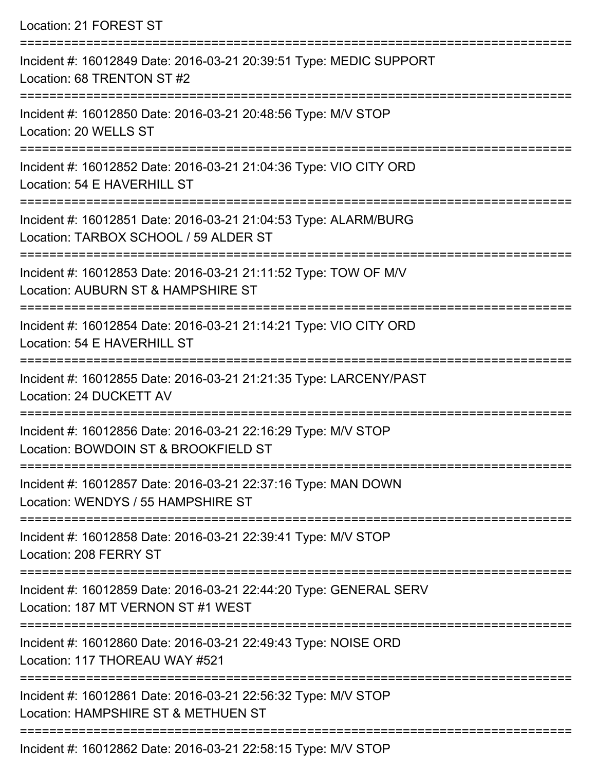| Location: 21 FOREST ST                                                                                                                     |
|--------------------------------------------------------------------------------------------------------------------------------------------|
| Incident #: 16012849 Date: 2016-03-21 20:39:51 Type: MEDIC SUPPORT<br>Location: 68 TRENTON ST #2                                           |
| Incident #: 16012850 Date: 2016-03-21 20:48:56 Type: M/V STOP<br>Location: 20 WELLS ST                                                     |
| Incident #: 16012852 Date: 2016-03-21 21:04:36 Type: VIO CITY ORD<br>Location: 54 E HAVERHILL ST<br>====================================== |
| Incident #: 16012851 Date: 2016-03-21 21:04:53 Type: ALARM/BURG<br>Location: TARBOX SCHOOL / 59 ALDER ST                                   |
| Incident #: 16012853 Date: 2016-03-21 21:11:52 Type: TOW OF M/V<br>Location: AUBURN ST & HAMPSHIRE ST                                      |
| Incident #: 16012854 Date: 2016-03-21 21:14:21 Type: VIO CITY ORD<br>Location: 54 E HAVERHILL ST                                           |
| Incident #: 16012855 Date: 2016-03-21 21:21:35 Type: LARCENY/PAST<br>Location: 24 DUCKETT AV                                               |
| Incident #: 16012856 Date: 2016-03-21 22:16:29 Type: M/V STOP<br>Location: BOWDOIN ST & BROOKFIELD ST                                      |
| Incident #: 16012857 Date: 2016-03-21 22:37:16 Type: MAN DOWN<br>Location: WENDYS / 55 HAMPSHIRE ST                                        |
| Incident #: 16012858 Date: 2016-03-21 22:39:41 Type: M/V STOP<br>Location: 208 FERRY ST                                                    |
| Incident #: 16012859 Date: 2016-03-21 22:44:20 Type: GENERAL SERV<br>Location: 187 MT VERNON ST #1 WEST                                    |
| Incident #: 16012860 Date: 2016-03-21 22:49:43 Type: NOISE ORD<br>Location: 117 THOREAU WAY #521                                           |
| Incident #: 16012861 Date: 2016-03-21 22:56:32 Type: M/V STOP<br>Location: HAMPSHIRE ST & METHUEN ST                                       |
|                                                                                                                                            |

Incident #: 16012862 Date: 2016-03-21 22:58:15 Type: M/V STOP